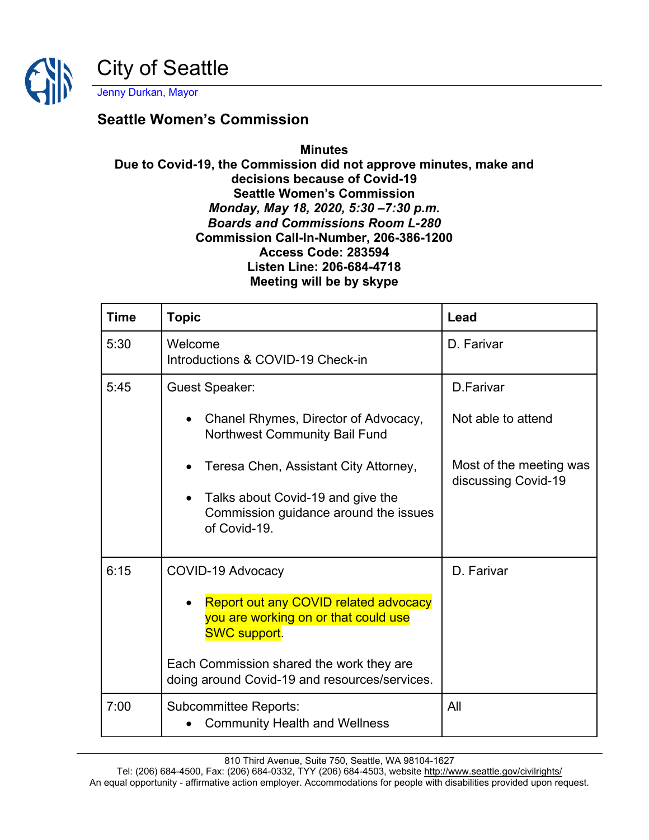

## **Seattle Women's Commission**

## **Minutes Due to Covid-19, the Commission did not approve minutes, make and decisions because of Covid-19 Seattle Women's Commission** *Monday, May 18, 2020, 5:30 –7:30 p.m. Boards and Commissions Room L-280* **Commission Call-In-Number, 206-386-1200 Access Code: 283594 Listen Line: 206-684-4718 Meeting will be by skype**

| <b>Time</b> | <b>Topic</b>                                                                                                                                                                                                                  | Lead                                           |
|-------------|-------------------------------------------------------------------------------------------------------------------------------------------------------------------------------------------------------------------------------|------------------------------------------------|
| 5:30        | Welcome<br>Introductions & COVID-19 Check-in                                                                                                                                                                                  | D. Farivar                                     |
| 5:45        | <b>Guest Speaker:</b>                                                                                                                                                                                                         | D.Farivar                                      |
|             | Chanel Rhymes, Director of Advocacy,<br><b>Northwest Community Bail Fund</b>                                                                                                                                                  | Not able to attend                             |
|             | Teresa Chen, Assistant City Attorney,<br>$\bullet$<br>Talks about Covid-19 and give the<br>Commission guidance around the issues<br>of Covid-19.                                                                              | Most of the meeting was<br>discussing Covid-19 |
| 6:15        | COVID-19 Advocacy<br><b>Report out any COVID related advocacy</b><br>you are working on or that could use<br><b>SWC support.</b><br>Each Commission shared the work they are<br>doing around Covid-19 and resources/services. | D. Farivar                                     |
| 7:00        | <b>Subcommittee Reports:</b><br><b>Community Health and Wellness</b>                                                                                                                                                          | All                                            |

810 Third Avenue, Suite 750, Seattle, WA 98104-1627

Tel: (206) 684-4500, Fax: (206) 684-0332, TYY (206) 684-4503, website<http://www.seattle.gov/civilrights/> An equal opportunity - affirmative action employer. Accommodations for people with disabilities provided upon request.